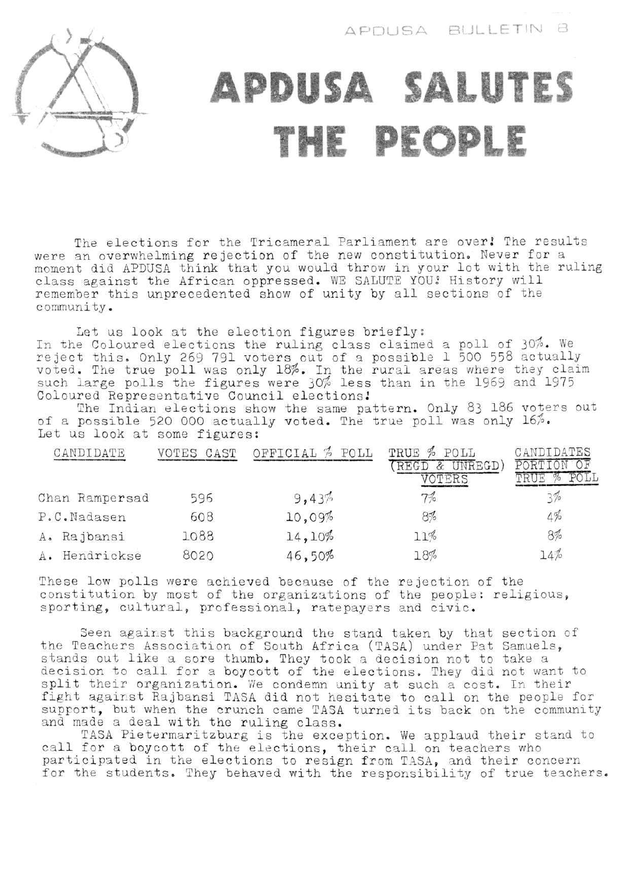

## **APDUSA SALUTES THE PEOPLE**

The elections for the Tricameral Parliament are over! The results were an overwhelming rejection of the new constitution. Never for a moment did APDUSA think that you would throw in your lot with the ruling class against the African oppressed. WE SALUTE YOU! History will remember this unprecedented show of unity by all sections of the community.

Let us look at the election figures briefly: In the Coloured elections the ruling class claimed a poll of reject this\* Only 269 791 voters out of a possible 1 500 558 voted. The true poll was only 18%. In the rural areas where such large polls the figures were 30\$ less than in the 1969 Coloured Representative Council elections.' 30\$. We actually they claim and 1975

The Indian elections show the same pattern. Only 83 186 of a possible 520 000 actually voted. The true poll was only Let us look at some figures: voters out  $16%$ .

| CANDIDATE      | VOTES CAST | OFFICIAL % POLL | TRUE % POLL<br>UNREGD)<br>VOTERS | CANDIDATES |
|----------------|------------|-----------------|----------------------------------|------------|
| Chan Rampersad | 596        | 9,43%           | 7%                               |            |
| P.C.Nadasen    | 608        | 10,09%          | $8\%$                            | 4%         |
| A. Rajbansi    | 1088       | 14,10%          | 11%                              | 8%         |
| A. Hendrickse  | 8020       | 46,50%          | 18%                              | 14%        |

These low polls were achieved because of the rejection of the constitution by most of the organizations of the people: religious, sporting, cultural, professional, ratepayers and civic.

section of Samuels, take a not want to split their organization. We condemn unity at such a cost. In their Seen against this background the stand taken by that the Teachers Association of South Africa (TASA) under Pat stands out like a sore thumb. They took a decision not to decision to call for a boycott of the elections. They did fight against Rajbansi TASA did not hesitate to call on the people for support, but when the crunch came TASA turned its back on the community and made a deal with the ruling class.

TASA Pietermaritzburg is the exception. We applaud their stand to call for a boycott of the elections, their call on teachers who participated in the elections to resign from TASA, and their concern for the students. They behaved with the responsibility of true teachers.